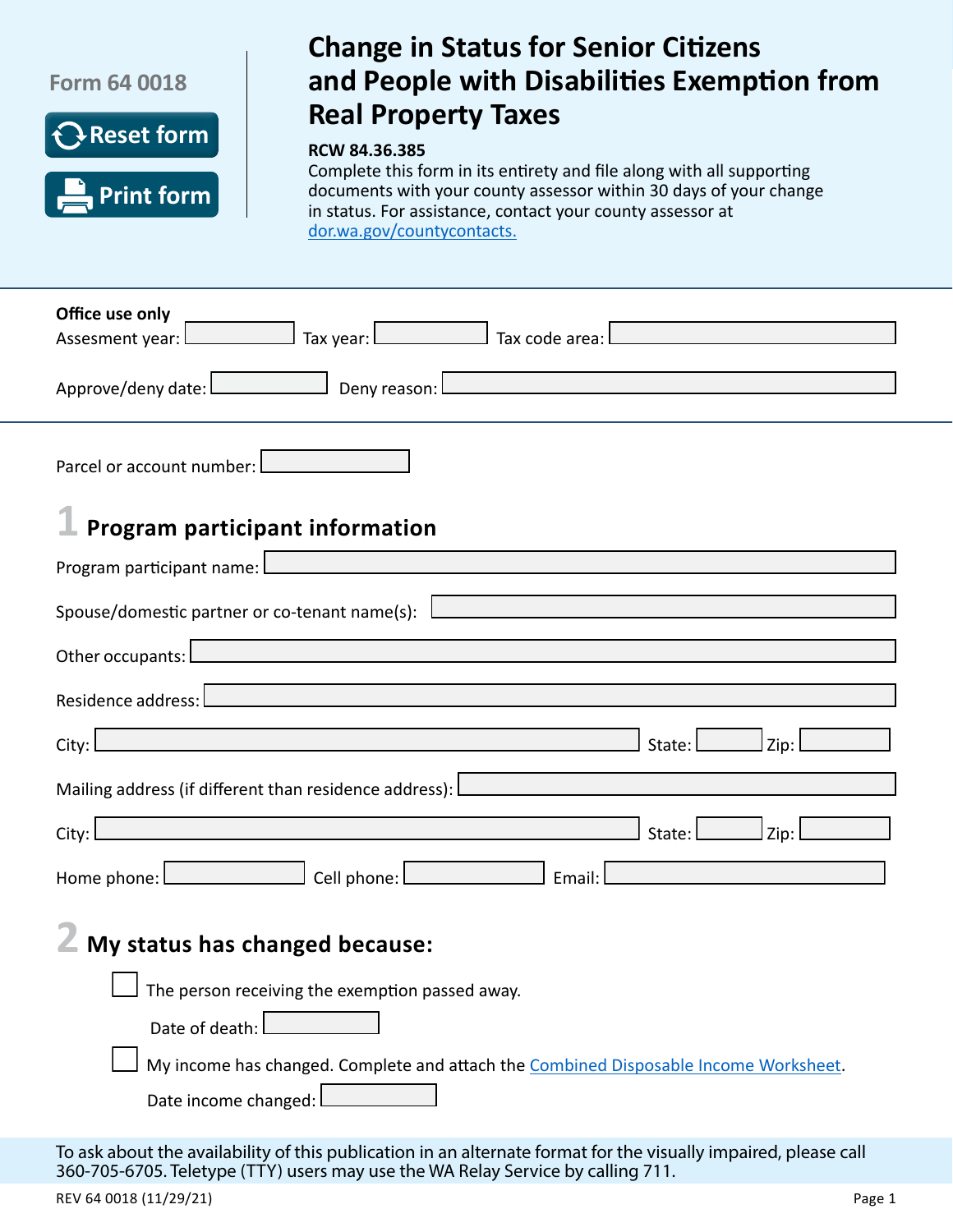



# Change in Status for Senior Citizens and People with Disabilities **Exercise Property Change in Status for Senior Citizens and Real Property Taxable Property Citizens and People with Disabilities Exemption from Real Property Taxes**

#### **RCW 84.36.385**

Complete this form in its entirety and file along with all supporting documents with your county assessor within 30 days of your change in status. For assistance, contact your county assessor at [dor.wa.gov/countycontacts](http://dor.wa.gov/countycontacts).

| Office use only<br>Assesment year: Tax year: Tax year: Tax code area:                                                                                                                                                          |  |  |  |  |  |
|--------------------------------------------------------------------------------------------------------------------------------------------------------------------------------------------------------------------------------|--|--|--|--|--|
| Approve/deny date: <u>Lease and Deny reason:</u> Lease and Lease and Lease and Lease and Lease and Lease and Lease and                                                                                                         |  |  |  |  |  |
| Parcel or account number: $\Box$                                                                                                                                                                                               |  |  |  |  |  |
| Program participant information                                                                                                                                                                                                |  |  |  |  |  |
| Program participant name: Letter and the contract of the contract of the contract of the contract of the contract of                                                                                                           |  |  |  |  |  |
| Spouse/domestic partner or co-tenant name(s): $\Box$                                                                                                                                                                           |  |  |  |  |  |
| Other occupants: Letter and the contract of the contract of the contract of the contract of the contract of the contract of the contract of the contract of the contract of the contract of the contract of the contract of th |  |  |  |  |  |
| Residence address: Letter and the contract of the contract of the contract of the contract of the contract of                                                                                                                  |  |  |  |  |  |
| $State:$ $Zip:$<br>City:                                                                                                                                                                                                       |  |  |  |  |  |
| Mailing address (if different than residence address): Lease and the control of the control of the control of                                                                                                                  |  |  |  |  |  |
| <u> 1989 - Johann Stein, marwolaethau a bhann an t-Amhair an t-Amhair an t-Amhair an t-Amhair an t-Amhair an t-A</u><br>$J$ Zip:<br>State:<br>City:                                                                            |  |  |  |  |  |
| Home phone: Letter Level Cell phone: Letter Level 2014<br>Email: l                                                                                                                                                             |  |  |  |  |  |
| My status has changed because:                                                                                                                                                                                                 |  |  |  |  |  |
| $\Box$ The person receiving the exemption passed away.                                                                                                                                                                         |  |  |  |  |  |
| Date of death:                                                                                                                                                                                                                 |  |  |  |  |  |
| My income has changed. Complete and attach the Combined Disposable Income Worksheet.                                                                                                                                           |  |  |  |  |  |
| Date income changed:                                                                                                                                                                                                           |  |  |  |  |  |

To ask about the availability of this publication in an alternate format for the visually impaired, please call 360-705-6705. Teletype (TTY) users may use the WA Relay Service by calling 711.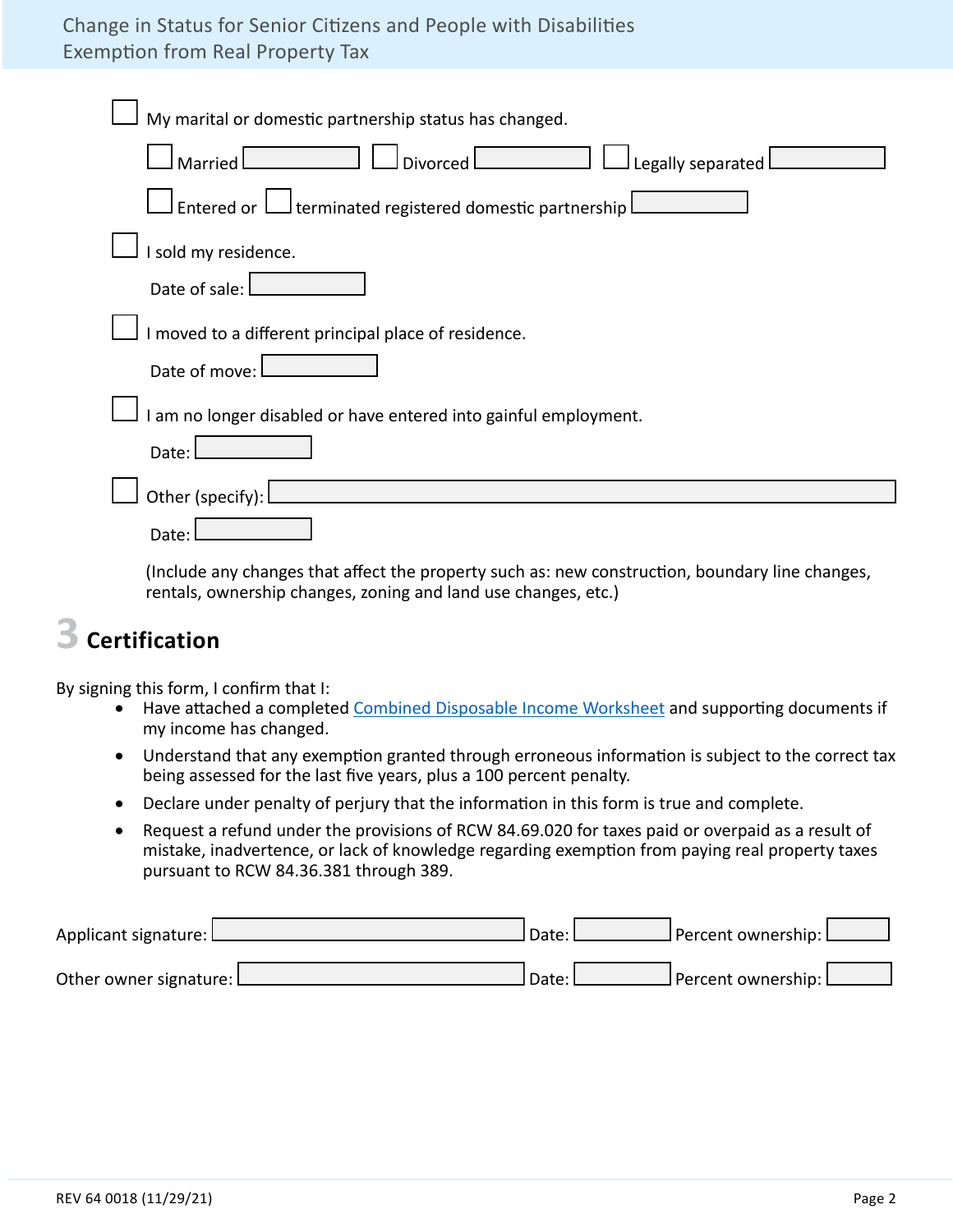# Change in Status for Senior Citizens and People with Disabilities Exemption from Real Property Tax

| My marital or domestic partnership status has changed.                                                                                                                                                                                                                                                                                 |
|----------------------------------------------------------------------------------------------------------------------------------------------------------------------------------------------------------------------------------------------------------------------------------------------------------------------------------------|
| <b>Married</b><br>Legally separated<br>Divorced L                                                                                                                                                                                                                                                                                      |
| Entered or $\Box$ terminated registered domestic partnership l                                                                                                                                                                                                                                                                         |
| I sold my residence.                                                                                                                                                                                                                                                                                                                   |
| Date of sale:                                                                                                                                                                                                                                                                                                                          |
| I moved to a different principal place of residence.                                                                                                                                                                                                                                                                                   |
| Date of move:                                                                                                                                                                                                                                                                                                                          |
| I am no longer disabled or have entered into gainful employment.                                                                                                                                                                                                                                                                       |
| Date:                                                                                                                                                                                                                                                                                                                                  |
| Other (specify):                                                                                                                                                                                                                                                                                                                       |
| Date:                                                                                                                                                                                                                                                                                                                                  |
| 71 and 1940 and 1940 and 200 and 200 and 200 and 200 and 200 and 200 and 200 and 200 and 200 and 200<br>in a complete that the contract the basic design of the contract of the contract of the contract of the contract of the contract of the contract of the contract of the contract of the contract of the contract of the contra |

 (Include any changes that affect the property such as: new construction, boundary line changes, rentals, ownership changes, zoning and land use changes, etc.)

# **3 Certification**

By signing this form, I confirm that I:

- Have attached a completed [Combined Disposable Income Worksheet](http://dor.wa.gov/sites/default/files/legacy/Docs/forms/PropTx/Forms/63-0036.pdf) and supporting documents if my income has changed.
- Understand that any exemption granted through erroneous information is subject to the correct tax being assessed for the last five years, plus a 100 percent penalty.
- Declare under penalty of perjury that the information in this form is true and complete.
- Request a refund under the provisions of RCW 84.69.020 for taxes paid or overpaid as a result of mistake, inadvertence, or lack of knowledge regarding exemption from paying real property taxes pursuant to RCW 84.36.381 through 389.

| Applicant signature: L   | l Date: L | J Percent ownership: L |  |
|--------------------------|-----------|------------------------|--|
| Other owner signature: L | l Date: I | J Percent ownership: L |  |